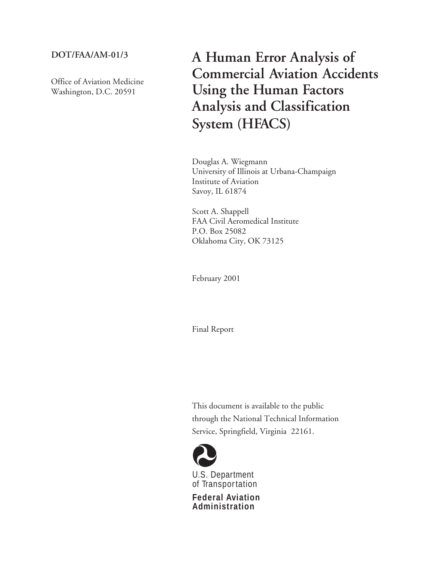## **DOT/FAA/AM-01/3**

Office of Aviation Medicine Washington, D.C. 20591

**A Human Error Analysis of Commercial Aviation Accidents Using the Human Factors Analysis and Classification System (HFACS)**

Douglas A. Wiegmann University of Illinois at Urbana-Champaign Institute of Aviation Savoy, IL 61874

Scott A. Shappell FAA Civil Aeromedical Institute P.O. Box 25082 Oklahoma City, OK 73125

February 2001

Final Report

This document is available to the public through the National Technical Information Service, Springfield, Virginia 22161.



U.S. Department of Transpor tation

**Federal Aviation Administration**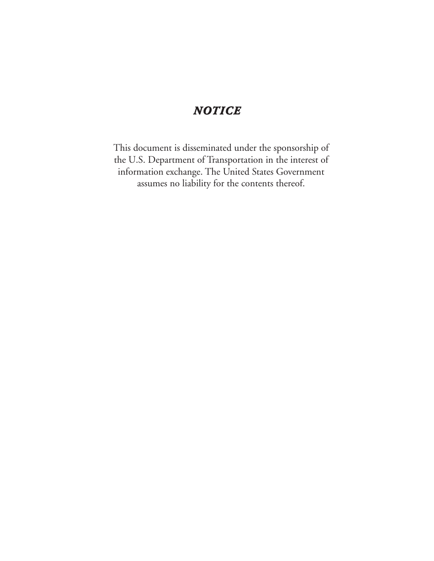# *NOTICE*

This document is disseminated under the sponsorship of the U.S. Department of Transportation in the interest of information exchange. The United States Government assumes no liability for the contents thereof.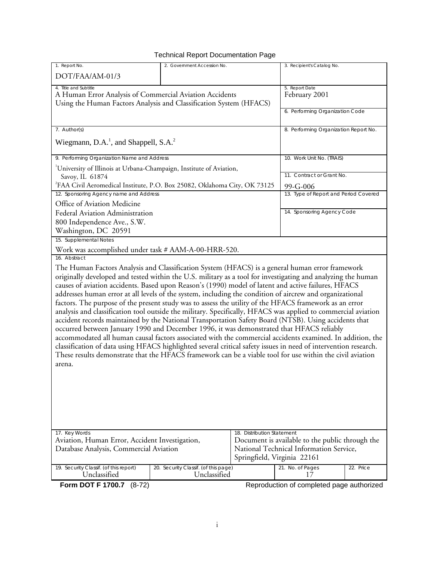## Technical Report Documentation Page

| 1. Report No.                                                                                                                                                                                                                                                                                                                                                                                                                                                                                                                                                                                                                                                                                                                                                                                                                                                                                                                                                                                                                                                                                                                                                                                                            | 2. Government Accession No.                          |                                                                                            |                                           |           |  |
|--------------------------------------------------------------------------------------------------------------------------------------------------------------------------------------------------------------------------------------------------------------------------------------------------------------------------------------------------------------------------------------------------------------------------------------------------------------------------------------------------------------------------------------------------------------------------------------------------------------------------------------------------------------------------------------------------------------------------------------------------------------------------------------------------------------------------------------------------------------------------------------------------------------------------------------------------------------------------------------------------------------------------------------------------------------------------------------------------------------------------------------------------------------------------------------------------------------------------|------------------------------------------------------|--------------------------------------------------------------------------------------------|-------------------------------------------|-----------|--|
| DOT/FAA/AM-01/3                                                                                                                                                                                                                                                                                                                                                                                                                                                                                                                                                                                                                                                                                                                                                                                                                                                                                                                                                                                                                                                                                                                                                                                                          |                                                      |                                                                                            | 3. Recipient's Catalog No.                |           |  |
| 4. Title and Subtitle<br>A Human Error Analysis of Commercial Aviation Accidents<br>Using the Human Factors Analysis and Classification System (HFACS)                                                                                                                                                                                                                                                                                                                                                                                                                                                                                                                                                                                                                                                                                                                                                                                                                                                                                                                                                                                                                                                                   |                                                      |                                                                                            | 5. Report Date<br>February 2001           |           |  |
|                                                                                                                                                                                                                                                                                                                                                                                                                                                                                                                                                                                                                                                                                                                                                                                                                                                                                                                                                                                                                                                                                                                                                                                                                          |                                                      |                                                                                            | 6. Performing Organization Code           |           |  |
| 7. Author(s)                                                                                                                                                                                                                                                                                                                                                                                                                                                                                                                                                                                                                                                                                                                                                                                                                                                                                                                                                                                                                                                                                                                                                                                                             |                                                      | 8. Performing Organization Report No.                                                      |                                           |           |  |
| Wiegmann, D.A. <sup>1</sup> , and Shappell, S.A. <sup>2</sup>                                                                                                                                                                                                                                                                                                                                                                                                                                                                                                                                                                                                                                                                                                                                                                                                                                                                                                                                                                                                                                                                                                                                                            |                                                      |                                                                                            |                                           |           |  |
| 9. Performing Organization Name and Address                                                                                                                                                                                                                                                                                                                                                                                                                                                                                                                                                                                                                                                                                                                                                                                                                                                                                                                                                                                                                                                                                                                                                                              |                                                      |                                                                                            | 10. Work Unit No. (TRAIS)                 |           |  |
| <sup>1</sup> University of Illinois at Urbana-Champaign, Institute of Aviation,                                                                                                                                                                                                                                                                                                                                                                                                                                                                                                                                                                                                                                                                                                                                                                                                                                                                                                                                                                                                                                                                                                                                          |                                                      |                                                                                            |                                           |           |  |
| Savoy, IL 61874                                                                                                                                                                                                                                                                                                                                                                                                                                                                                                                                                                                                                                                                                                                                                                                                                                                                                                                                                                                                                                                                                                                                                                                                          |                                                      |                                                                                            | 11. Contract or Grant No.                 |           |  |
| <sup>2</sup> FAA Civil Aeromedical Institute, P.O. Box 25082, Oklahoma City, OK 73125                                                                                                                                                                                                                                                                                                                                                                                                                                                                                                                                                                                                                                                                                                                                                                                                                                                                                                                                                                                                                                                                                                                                    |                                                      |                                                                                            | 99-G-006                                  |           |  |
| 12. Sponsoring Agency name and Address                                                                                                                                                                                                                                                                                                                                                                                                                                                                                                                                                                                                                                                                                                                                                                                                                                                                                                                                                                                                                                                                                                                                                                                   |                                                      |                                                                                            | 13. Type of Report and Period Covered     |           |  |
| Office of Aviation Medicine                                                                                                                                                                                                                                                                                                                                                                                                                                                                                                                                                                                                                                                                                                                                                                                                                                                                                                                                                                                                                                                                                                                                                                                              |                                                      |                                                                                            |                                           |           |  |
| Federal Aviation Administration                                                                                                                                                                                                                                                                                                                                                                                                                                                                                                                                                                                                                                                                                                                                                                                                                                                                                                                                                                                                                                                                                                                                                                                          |                                                      |                                                                                            | 14. Sponsoring Agency Code                |           |  |
| 800 Independence Ave., S.W.                                                                                                                                                                                                                                                                                                                                                                                                                                                                                                                                                                                                                                                                                                                                                                                                                                                                                                                                                                                                                                                                                                                                                                                              |                                                      |                                                                                            |                                           |           |  |
| Washington, DC 20591<br>15. Supplemental Notes                                                                                                                                                                                                                                                                                                                                                                                                                                                                                                                                                                                                                                                                                                                                                                                                                                                                                                                                                                                                                                                                                                                                                                           |                                                      |                                                                                            |                                           |           |  |
|                                                                                                                                                                                                                                                                                                                                                                                                                                                                                                                                                                                                                                                                                                                                                                                                                                                                                                                                                                                                                                                                                                                                                                                                                          |                                                      |                                                                                            |                                           |           |  |
| Work was accomplished under task # AAM-A-00-HRR-520.<br>16. Abstract                                                                                                                                                                                                                                                                                                                                                                                                                                                                                                                                                                                                                                                                                                                                                                                                                                                                                                                                                                                                                                                                                                                                                     |                                                      |                                                                                            |                                           |           |  |
| The Human Factors Analysis and Classification System (HFACS) is a general human error framework<br>originally developed and tested within the U.S. military as a tool for investigating and analyzing the human<br>causes of aviation accidents. Based upon Reason's (1990) model of latent and active failures, HFACS<br>addresses human error at all levels of the system, including the condition of aircrew and organizational<br>factors. The purpose of the present study was to assess the utility of the HFACS framework as an error<br>analysis and classification tool outside the military. Specifically, HFACS was applied to commercial aviation<br>accident records maintained by the National Transportation Safety Board (NTSB). Using accidents that<br>occurred between January 1990 and December 1996, it was demonstrated that HFACS reliably<br>accommodated all human causal factors associated with the commercial accidents examined. In addition, the<br>classification of data using HFACS highlighted several critical safety issues in need of intervention research.<br>These results demonstrate that the HFACS framework can be a viable tool for use within the civil aviation<br>arena. |                                                      |                                                                                            |                                           |           |  |
| 17. Key Words                                                                                                                                                                                                                                                                                                                                                                                                                                                                                                                                                                                                                                                                                                                                                                                                                                                                                                                                                                                                                                                                                                                                                                                                            |                                                      | 18. Distribution Statement                                                                 |                                           |           |  |
| Aviation, Human Error, Accident Investigation,                                                                                                                                                                                                                                                                                                                                                                                                                                                                                                                                                                                                                                                                                                                                                                                                                                                                                                                                                                                                                                                                                                                                                                           |                                                      | Document is available to the public through the<br>National Technical Information Service, |                                           |           |  |
| Database Analysis, Commercial Aviation                                                                                                                                                                                                                                                                                                                                                                                                                                                                                                                                                                                                                                                                                                                                                                                                                                                                                                                                                                                                                                                                                                                                                                                   |                                                      |                                                                                            | Springfield, Virginia 22161               |           |  |
| 19. Security Classif. (of this report)<br>Unclassified                                                                                                                                                                                                                                                                                                                                                                                                                                                                                                                                                                                                                                                                                                                                                                                                                                                                                                                                                                                                                                                                                                                                                                   | 20. Security Classif. (of this page)<br>Unclassified |                                                                                            | 21. No. of Pages<br>17                    | 22. Price |  |
| Form DOT F 1700.7 (8-72)                                                                                                                                                                                                                                                                                                                                                                                                                                                                                                                                                                                                                                                                                                                                                                                                                                                                                                                                                                                                                                                                                                                                                                                                 |                                                      |                                                                                            | Reproduction of completed page authorized |           |  |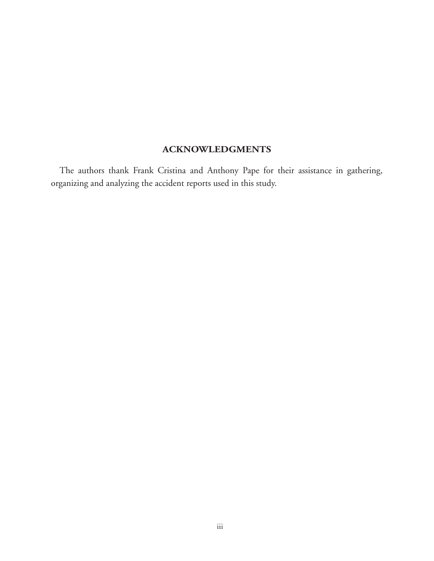## **ACKNOWLEDGMENTS**

The authors thank Frank Cristina and Anthony Pape for their assistance in gathering, organizing and analyzing the accident reports used in this study.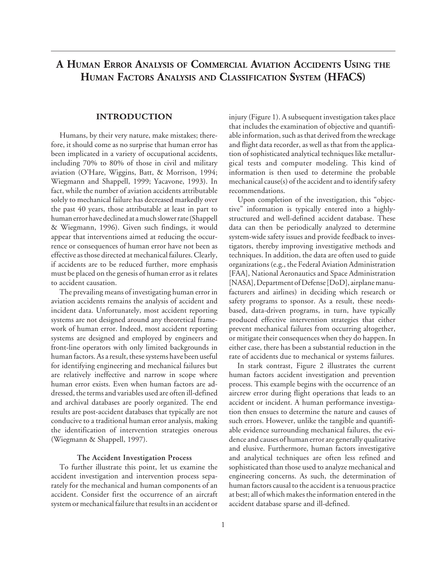## **A HUMAN ERROR ANALYSIS OF COMMERCIAL AVIATION ACCIDENTS USING THE HUMAN FACTORS ANALYSIS AND CLASSIFICATION SYSTEM (HFACS)**

## **INTRODUCTION**

Humans, by their very nature, make mistakes; therefore, it should come as no surprise that human error has been implicated in a variety of occupational accidents, including 70% to 80% of those in civil and military aviation (O'Hare, Wiggins, Batt, & Morrison, 1994; Wiegmann and Shappell, 1999; Yacavone, 1993). In fact, while the number of aviation accidents attributable solely to mechanical failure has decreased markedly over the past 40 years, those attributable at least in part to human error have declined at a much slower rate (Shappell & Wiegmann, 1996). Given such findings, it would appear that interventions aimed at reducing the occurrence or consequences of human error have not been as effective as those directed at mechanical failures. Clearly, if accidents are to be reduced further, more emphasis must be placed on the genesis of human error as it relates to accident causation.

The prevailing means of investigating human error in aviation accidents remains the analysis of accident and incident data. Unfortunately, most accident reporting systems are not designed around any theoretical framework of human error. Indeed, most accident reporting systems are designed and employed by engineers and front-line operators with only limited backgrounds in human factors. As a result, these systems have been useful for identifying engineering and mechanical failures but are relatively ineffective and narrow in scope where human error exists. Even when human factors are addressed, the terms and variables used are often ill-defined and archival databases are poorly organized. The end results are post-accident databases that typically are not conducive to a traditional human error analysis, making the identification of intervention strategies onerous (Wiegmann & Shappell, 1997).

#### **The Accident Investigation Process**

To further illustrate this point, let us examine the accident investigation and intervention process separately for the mechanical and human components of an accident. Consider first the occurrence of an aircraft system or mechanical failure that results in an accident or

injury (Figure 1). A subsequent investigation takes place that includes the examination of objective and quantifiable information, such as that derived from the wreckage and flight data recorder, as well as that from the application of sophisticated analytical techniques like metallurgical tests and computer modeling. This kind of information is then used to determine the probable mechanical cause(s) of the accident and to identify safety recommendations.

Upon completion of the investigation, this "objective" information is typically entered into a highlystructured and well-defined accident database. These data can then be periodically analyzed to determine system-wide safety issues and provide feedback to investigators, thereby improving investigative methods and techniques. In addition, the data are often used to guide organizations (e.g., the Federal Aviation Administration [FAA], National Aeronautics and Space Administration [NASA], Department of Defense [DoD], airplane manufacturers and airlines) in deciding which research or safety programs to sponsor. As a result, these needsbased, data-driven programs, in turn, have typically produced effective intervention strategies that either prevent mechanical failures from occurring altogether, or mitigate their consequences when they do happen. In either case, there has been a substantial reduction in the rate of accidents due to mechanical or systems failures.

In stark contrast, Figure 2 illustrates the current human factors accident investigation and prevention process. This example begins with the occurrence of an aircrew error during flight operations that leads to an accident or incident. A human performance investigation then ensues to determine the nature and causes of such errors. However, unlike the tangible and quantifiable evidence surrounding mechanical failures, the evidence and causes of human error are generally qualitative and elusive. Furthermore, human factors investigative and analytical techniques are often less refined and sophisticated than those used to analyze mechanical and engineering concerns. As such, the determination of human factors causal to the accident is a tenuous practice at best; all of which makes the information entered in the accident database sparse and ill-defined.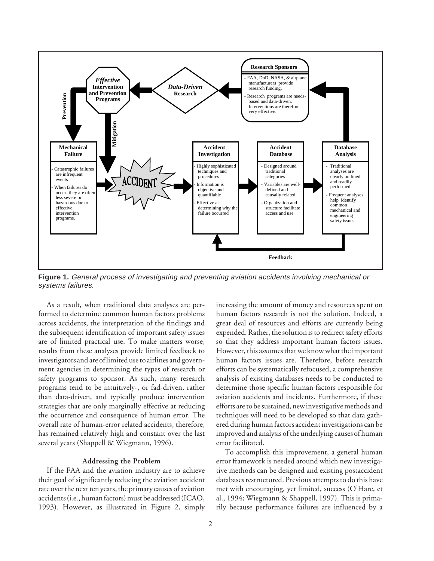

**Figure 1.** General process of investigating and preventing aviation accidents involving mechanical or systems failures.

As a result, when traditional data analyses are performed to determine common human factors problems across accidents, the interpretation of the findings and the subsequent identification of important safety issues are of limited practical use. To make matters worse, results from these analyses provide limited feedback to investigators and are of limited use to airlines and government agencies in determining the types of research or safety programs to sponsor. As such, many research programs tend to be intuitively-, or fad-driven, rather than data-driven, and typically produce intervention strategies that are only marginally effective at reducing the occurrence and consequence of human error. The overall rate of human-error related accidents, therefore, has remained relatively high and constant over the last several years (Shappell & Wiegmann, 1996).

#### **Addressing the Problem**

If the FAA and the aviation industry are to achieve their goal of significantly reducing the aviation accident rate over the next ten years, the primary causes of aviation accidents (i.e., human factors) must be addressed (ICAO, 1993). However, as illustrated in Figure 2, simply increasing the amount of money and resources spent on human factors research is not the solution. Indeed, a great deal of resources and efforts are currently being expended. Rather, the solution is to redirect safety efforts so that they address important human factors issues. However, this assumes that we know what the important human factors issues are. Therefore, before research efforts can be systematically refocused, a comprehensive analysis of existing databases needs to be conducted to determine those specific human factors responsible for aviation accidents and incidents. Furthermore, if these efforts are to be sustained, new investigative methods and techniques will need to be developed so that data gathered during human factors accident investigations can be improved and analysis of the underlying causes of human error facilitated.

To accomplish this improvement, a general human error framework is needed around which new investigative methods can be designed and existing postaccident databases restructured. Previous attempts to do this have met with encouraging, yet limited, success (O'Hare, et al., 1994; Wiegmann & Shappell, 1997). This is primarily because performance failures are influenced by a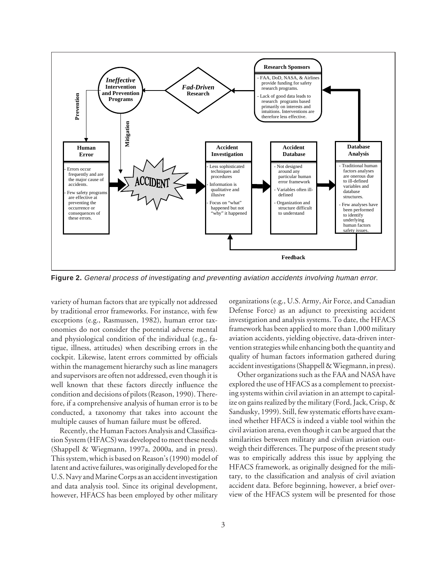

**Figure 2.** General process of investigating and preventing aviation accidents involving human error.

variety of human factors that are typically not addressed by traditional error frameworks. For instance, with few exceptions (e.g., Rasmussen, 1982), human error taxonomies do not consider the potential adverse mental and physiological condition of the individual (e.g., fatigue, illness, attitudes) when describing errors in the cockpit. Likewise, latent errors committed by officials within the management hierarchy such as line managers and supervisors are often not addressed, even though it is well known that these factors directly influence the condition and decisions of pilots (Reason, 1990). Therefore, if a comprehensive analysis of human error is to be conducted, a taxonomy that takes into account the multiple causes of human failure must be offered.

Recently, the Human Factors Analysis and Classification System (HFACS) was developed to meet these needs (Shappell & Wiegmann, 1997a, 2000a, and in press). This system, which is based on Reason's (1990) model of latent and active failures, was originally developed for the U.S. Navy and Marine Corps as an accident investigation and data analysis tool. Since its original development, however, HFACS has been employed by other military

organizations (e.g., U.S. Army, Air Force, and Canadian Defense Force) as an adjunct to preexisting accident investigation and analysis systems. To date, the HFACS framework has been applied to more than 1,000 military aviation accidents, yielding objective, data-driven intervention strategies while enhancing both the quantity and quality of human factors information gathered during accident investigations (Shappell & Wiegmann, in press).

Other organizations such as the FAA and NASA have explored the use of HFACS as a complement to preexisting systems within civil aviation in an attempt to capitalize on gains realized by the military (Ford, Jack, Crisp, & Sandusky, 1999). Still, few systematic efforts have examined whether HFACS is indeed a viable tool within the civil aviation arena, even though it can be argued that the similarities between military and civilian aviation outweigh their differences. The purpose of the present study was to empirically address this issue by applying the HFACS framework, as originally designed for the military, to the classification and analysis of civil aviation accident data. Before beginning, however, a brief overview of the HFACS system will be presented for those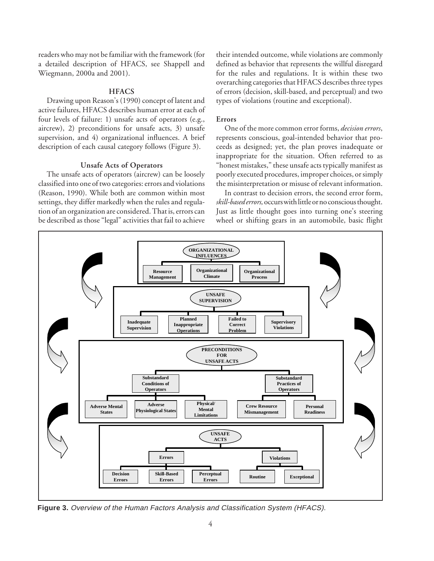readers who may not be familiar with the framework (for a detailed description of HFACS, see Shappell and Wiegmann, 2000a and 2001).

#### **HFACS**

Drawing upon Reason's (1990) concept of latent and active failures, HFACS describes human error at each of four levels of failure: 1) unsafe acts of operators (e.g., aircrew), 2) preconditions for unsafe acts, 3) unsafe supervision, and 4) organizational influences. A brief description of each causal category follows (Figure 3).

#### **Unsafe Acts of Operators**

The unsafe acts of operators (aircrew) can be loosely classified into one of two categories: errors and violations (Reason, 1990). While both are common within most settings, they differ markedly when the rules and regulation of an organization are considered. That is, errors can be described as those "legal" activities that fail to achieve

their intended outcome, while violations are commonly defined as behavior that represents the willful disregard for the rules and regulations. It is within these two overarching categories that HFACS describes three types of errors (decision, skill-based, and perceptual) and two types of violations (routine and exceptional).

#### **Errors**

One of the more common error forms, *decision errors*, represents conscious, goal-intended behavior that proceeds as designed; yet, the plan proves inadequate or inappropriate for the situation. Often referred to as "honest mistakes," these unsafe acts typically manifest as poorly executed procedures, improper choices, or simply the misinterpretation or misuse of relevant information.

In contrast to decision errors, the second error form, *skill-based errors,* occurs with little or no conscious thought. Just as little thought goes into turning one's steering wheel or shifting gears in an automobile, basic flight



**Figure 3.** Overview of the Human Factors Analysis and Classification System (HFACS).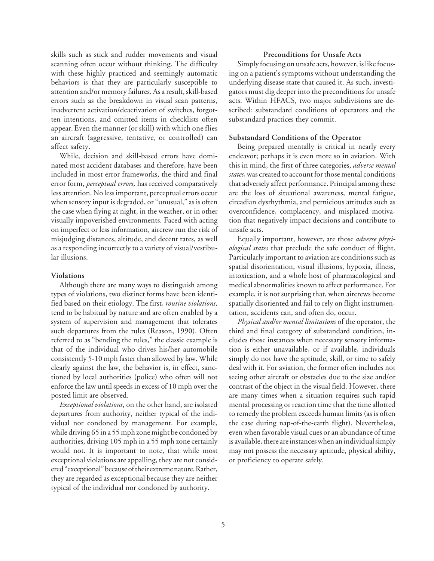skills such as stick and rudder movements and visual scanning often occur without thinking. The difficulty with these highly practiced and seemingly automatic behaviors is that they are particularly susceptible to attention and/or memory failures. As a result, skill-based errors such as the breakdown in visual scan patterns, inadvertent activation/deactivation of switches, forgotten intentions, and omitted items in checklists often appear. Even the manner (or skill) with which one flies an aircraft (aggressive, tentative, or controlled) can affect safety.

While, decision and skill-based errors have dominated most accident databases and therefore, have been included in most error frameworks, the third and final error form, *perceptual errors,* has received comparatively less attention. No less important, perceptual errors occur when sensory input is degraded, or "unusual," as is often the case when flying at night, in the weather, or in other visually impoverished environments. Faced with acting on imperfect or less information, aircrew run the risk of misjudging distances, altitude, and decent rates, as well as a responding incorrectly to a variety of visual/vestibular illusions.

#### **Violations**

Although there are many ways to distinguish among types of violations, two distinct forms have been identified based on their etiology. The first, *routine violations,* tend to be habitual by nature and are often enabled by a system of supervision and management that tolerates such departures from the rules (Reason, 1990). Often referred to as "bending the rules," the classic example is that of the individual who drives his/her automobile consistently 5-10 mph faster than allowed by law. While clearly against the law, the behavior is, in effect, sanctioned by local authorities (police) who often will not enforce the law until speeds in excess of 10 mph over the posted limit are observed.

*Exceptional violations*, on the other hand, are isolated departures from authority, neither typical of the individual nor condoned by management. For example, while driving 65 in a 55 mph zone might be condoned by authorities, driving 105 mph in a 55 mph zone certainly would not. It is important to note, that while most exceptional violations are appalling, they are not considered "exceptional" because of their extreme nature. Rather, they are regarded as exceptional because they are neither typical of the individual nor condoned by authority.

## **Preconditions for Unsafe Acts**

Simply focusing on unsafe acts, however, is like focusing on a patient's symptoms without understanding the underlying disease state that caused it. As such, investigators must dig deeper into the preconditions for unsafe acts. Within HFACS, two major subdivisions are described: substandard conditions of operators and the substandard practices they commit.

#### **Substandard Conditions of the Operator**

Being prepared mentally is critical in nearly every endeavor; perhaps it is even more so in aviation. With this in mind, the first of three categories, *adverse mental states*, was created to account for those mental conditions that adversely affect performance. Principal among these are the loss of situational awareness, mental fatigue, circadian dysrhythmia, and pernicious attitudes such as overconfidence, complacency, and misplaced motivation that negatively impact decisions and contribute to unsafe acts.

Equally important, however, are those *adverse physiological states* that preclude the safe conduct of flight. Particularly important to aviation are conditions such as spatial disorientation, visual illusions, hypoxia, illness, intoxication, and a whole host of pharmacological and medical abnormalities known to affect performance. For example, it is not surprising that, when aircrews become spatially disoriented and fail to rely on flight instrumentation, accidents can, and often do, occur.

*Physical and/or mental limitations* of the operator, the third and final category of substandard condition, includes those instances when necessary sensory information is either unavailable, or if available, individuals simply do not have the aptitude, skill, or time to safely deal with it. For aviation, the former often includes not seeing other aircraft or obstacles due to the size and/or contrast of the object in the visual field. However, there are many times when a situation requires such rapid mental processing or reaction time that the time allotted to remedy the problem exceeds human limits (as is often the case during nap-of-the-earth flight). Nevertheless, even when favorable visual cues or an abundance of time is available, there are instances when an individual simply may not possess the necessary aptitude, physical ability, or proficiency to operate safely.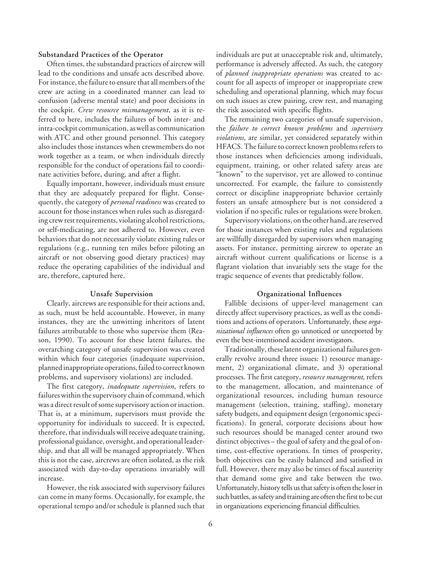#### **Substandard Practices of the Operator**

Often times, the substandard practices of aircrew will lead to the conditions and unsafe acts described above. For instance, the failure to ensure that all members of the crew are acting in a coordinated manner can lead to confusion (adverse mental state) and poor decisions in the cockpit. *Crew resource mismanagement*, as it is referred to here, includes the failures of both inter- and intra-cockpit communication, as well as communication with ATC and other ground personnel. This category also includes those instances when crewmembers do not work together as a team, or when individuals directly responsible for the conduct of operations fail to coordinate activities before, during, and after a flight.

Equally important, however, individuals must ensure that they are adequately prepared for flight. Consequently, the category of *personal readiness* was created to account for those instances when rules such as disregarding crew rest requirements, violating alcohol restrictions, or self-medicating, are not adhered to. However, even behaviors that do not necessarily violate existing rules or regulations (e.g., running ten miles before piloting an aircraft or not observing good dietary practices) may reduce the operating capabilities of the individual and are, therefore, captured here.

#### **Unsafe Supervision**

Clearly, aircrews are responsible for their actions and, as such, must be held accountable. However, in many instances, they are the unwitting inheritors of latent failures attributable to those who supervise them (Reason, 1990). To account for these latent failures, the overarching category of unsafe supervision was created within which four categories (inadequate supervision, planned inappropriate operations, failed to correct known problems, and supervisory violations) are included.

The first category, *inadequate supervision*, refers to failures within the supervisory chain of command, which was a direct result of some supervisory action or inaction. That is, at a minimum, supervisors must provide the opportunity for individuals to succeed. It is expected, therefore, that individuals will receive adequate training, professional guidance, oversight, and operational leadership, and that all will be managed appropriately. When this is not the case, aircrews are often isolated, as the risk associated with day-to-day operations invariably will increase.

However, the risk associated with supervisory failures can come in many forms. Occasionally, for example, the operational tempo and/or schedule is planned such that individuals are put at unacceptable risk and, ultimately, performance is adversely affected. As such, the category of *planned inappropriate operations* was created to account for all aspects of improper or inappropriate crew scheduling and operational planning, which may focus on such issues as crew pairing, crew rest, and managing the risk associated with specific flights.

The remaining two categories of unsafe supervision, the *failure to correct known problems* and *supervisory violations*, are similar, yet considered separately within HFACS. The failure to correct known problems refers to those instances when deficiencies among individuals, equipment, training, or other related safety areas are "known" to the supervisor, yet are allowed to continue uncorrected. For example, the failure to consistently correct or discipline inappropriate behavior certainly fosters an unsafe atmosphere but is not considered a violation if no specific rules or regulations were broken.

Supervisory violations, on the other hand, are reserved for those instances when existing rules and regulations are willfully disregarded by supervisors when managing assets. For instance, permitting aircrew to operate an aircraft without current qualifications or license is a flagrant violation that invariably sets the stage for the tragic sequence of events that predictably follow.

#### **Organizational Influences**

Fallible decisions of upper-level management can directly affect supervisory practices, as well as the conditions and actions of operators. Unfortunately, these *organizational influences* often go unnoticed or unreported by even the best-intentioned accident investigators.

Traditionally, these latent organizational failures generally revolve around three issues: 1) resource management, 2) organizational climate, and 3) operational processes. The first category, *resource management,* refers to the management, allocation, and maintenance of organizational resources, including human resource management (selection, training, staffing), monetary safety budgets, and equipment design (ergonomic specifications). In general, corporate decisions about how such resources should be managed center around two distinct objectives – the goal of safety and the goal of ontime, cost-effective operations. In times of prosperity, both objectives can be easily balanced and satisfied in full. However, there may also be times of fiscal austerity that demand some give and take between the two. Unfortunately, history tells us that safety is often the loser in such battles, as safety and training are often the first to be cut in organizations experiencing financial difficulties.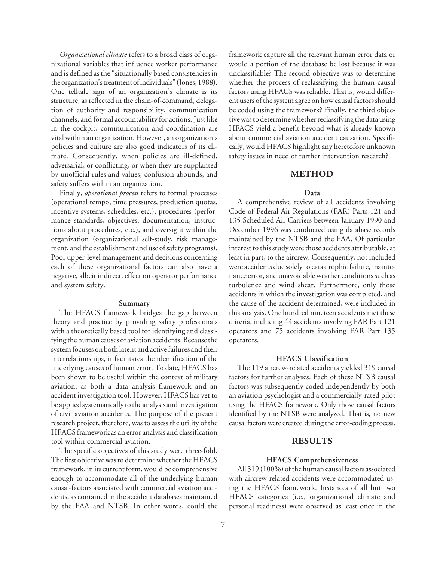*Organizational climate* refers to a broad class of organizational variables that influence worker performance and is defined as the "situationally based consistencies in the organization's treatment of individuals" (Jones, 1988). One telltale sign of an organization's climate is its structure, as reflected in the chain-of-command, delegation of authority and responsibility, communication channels, and formal accountability for actions. Just like in the cockpit, communication and coordination are vital within an organization. However, an organization's policies and culture are also good indicators of its climate. Consequently, when policies are ill-defined, adversarial, or conflicting, or when they are supplanted by unofficial rules and values, confusion abounds, and safety suffers within an organization.

Finally, *operational process* refers to formal processes (operational tempo, time pressures, production quotas, incentive systems, schedules, etc.), procedures (performance standards, objectives, documentation, instructions about procedures, etc.), and oversight within the organization (organizational self-study, risk management, and the establishment and use of safety programs). Poor upper-level management and decisions concerning each of these organizational factors can also have a negative, albeit indirect, effect on operator performance and system safety.

### **Summary**

The HFACS framework bridges the gap between theory and practice by providing safety professionals with a theoretically based tool for identifying and classifying the human causes of aviation accidents. Because the system focuses on both latent and active failures and their interrelationships, it facilitates the identification of the underlying causes of human error. To date, HFACS has been shown to be useful within the context of military aviation, as both a data analysis framework and an accident investigation tool. However, HFACS has yet to be applied systematically to the analysis and investigation of civil aviation accidents. The purpose of the present research project, therefore, was to assess the utility of the HFACS framework as an error analysis and classification tool within commercial aviation.

The specific objectives of this study were three-fold. The first objective was to determine whether the HFACS framework, in its current form, would be comprehensive enough to accommodate all of the underlying human causal-factors associated with commercial aviation accidents, as contained in the accident databases maintained by the FAA and NTSB. In other words, could the framework capture all the relevant human error data or would a portion of the database be lost because it was unclassifiable? The second objective was to determine whether the process of reclassifying the human causal factors using HFACS was reliable. That is, would different users of the system agree on how causal factors should be coded using the framework? Finally, the third objective was to determine whether reclassifying the data using HFACS yield a benefit beyond what is already known about commercial aviation accident causation. Specifically, would HFACS highlight any heretofore unknown safety issues in need of further intervention research?

#### **METHOD**

#### **Data**

A comprehensive review of all accidents involving Code of Federal Air Regulations (FAR) Parts 121 and 135 Scheduled Air Carriers between January 1990 and December 1996 was conducted using database records maintained by the NTSB and the FAA. Of particular interest to this study were those accidents attributable, at least in part, to the aircrew. Consequently, not included were accidents due solely to catastrophic failure, maintenance error, and unavoidable weather conditions such as turbulence and wind shear. Furthermore, only those accidents in which the investigation was completed, and the cause of the accident determined, were included in this analysis. One hundred nineteen accidents met these criteria, including 44 accidents involving FAR Part 121 operators and 75 accidents involving FAR Part 135 operators.

#### **HFACS Classification**

The 119 aircrew-related accidents yielded 319 causal factors for further analyses. Each of these NTSB causal factors was subsequently coded independently by both an aviation psychologist and a commercially-rated pilot using the HFACS framework. Only those causal factors identified by the NTSB were analyzed. That is, no new causal factors were created during the error-coding process.

### **RESULTS**

### **HFACS Comprehensiveness**

All 319 (100%) of the human causal factors associated with aircrew-related accidents were accommodated using the HFACS framework. Instances of all but two HFACS categories (i.e., organizational climate and personal readiness) were observed as least once in the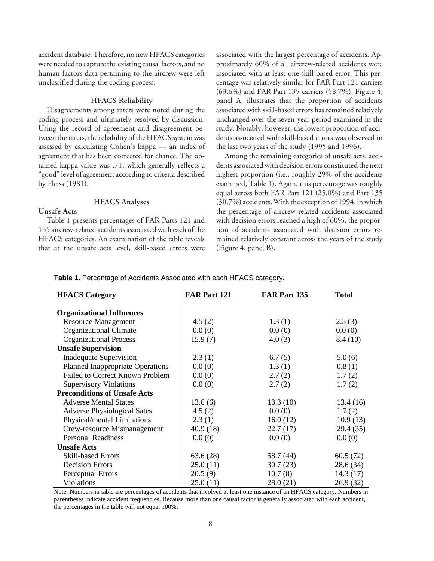accident database. Therefore, no new HFACS categories were needed to capture the existing causal factors, and no human factors data pertaining to the aircrew were left unclassified during the coding process.

#### **HFACS Reliability**

Disagreements among raters were noted during the coding process and ultimately resolved by discussion. Using the record of agreement and disagreement between the raters, the reliability of the HFACS system was assessed by calculating Cohen's kappa — an index of agreement that has been corrected for chance. The obtained kappa value was .71, which generally reflects a "good" level of agreement according to criteria described by Fleiss (1981).

#### **HFACS Analyses**

### **Unsafe Acts**

Table 1 presents percentages of FAR Parts 121 and 135 aircrew-related accidents associated with each of the HFACS categories. An examination of the table reveals that at the unsafe acts level, skill-based errors were associated with the largest percentage of accidents. Approximately 60% of all aircrew-related accidents were associated with at least one skill-based error. This percentage was relatively similar for FAR Part 121 carriers (63.6%) and FAR Part 135 carriers (58.7%). Figure 4, panel A, illustrates that the proportion of accidents associated with skill-based errors has remained relatively unchanged over the seven-year period examined in the study. Notably, however, the lowest proportion of accidents associated with skill-based errors was observed in the last two years of the study (1995 and 1996).

Among the remaining categories of unsafe acts, accidents associated with decision errors constituted the next highest proportion (i.e., roughly 29% of the accidents examined, Table 1). Again, this percentage was roughly equal across both FAR Part 121 (25.0%) and Part 135 (30.7%) accidents. With the exception of 1994, in which the percentage of aircrew-related accidents associated with decision errors reached a high of 60%, the proportion of accidents associated with decision errors remained relatively constant across the years of the study (Figure 4, panel B).

#### **Table 1.** Percentage of Accidents Associated with each HFACS category.

| <b>HFACS</b> Category                   | FAR Part 121 | FAR Part 135 | <b>Total</b> |
|-----------------------------------------|--------------|--------------|--------------|
| <b>Organizational Influences</b>        |              |              |              |
| <b>Resource Management</b>              | 4.5(2)       | 1.3(1)       | 2.5(3)       |
| <b>Organizational Climate</b>           | 0.0(0)       | 0.0(0)       | 0.0(0)       |
| <b>Organizational Process</b>           | 15.9(7)      | 4.0(3)       | 8.4(10)      |
| <b>Unsafe Supervision</b>               |              |              |              |
| <b>Inadequate Supervision</b>           | 2.3(1)       | 6.7(5)       | 5.0(6)       |
| <b>Planned Inappropriate Operations</b> | 0.0(0)       | 1.3(1)       | 0.8(1)       |
| Failed to Correct Known Problem         | 0.0(0)       | 2.7(2)       | 1.7(2)       |
| <b>Supervisory Violations</b>           | 0.0(0)       | 2.7(2)       | 1.7(2)       |
| <b>Preconditions of Unsafe Acts</b>     |              |              |              |
| <b>Adverse Mental States</b>            | 13.6(6)      | 13.3(10)     | 13.4(16)     |
| <b>Adverse Physiological Sates</b>      | 4.5(2)       | 0.0(0)       | 1.7(2)       |
| Physical/mental Limitations             | 2.3(1)       | 16.0(12)     | 10.9(13)     |
| Crew-resource Mismanagement             | 40.9 (18)    | 22.7(17)     | 29.4 (35)    |
| <b>Personal Readiness</b>               | 0.0(0)       | 0.0(0)       | 0.0(0)       |
| <b>Unsafe Acts</b>                      |              |              |              |
| Skill-based Errors                      | 63.6(28)     | 58.7 (44)    | 60.5(72)     |
| <b>Decision Errors</b>                  | 25.0(11)     | 30.7(23)     | 28.6(34)     |
| Perceptual Errors                       | 20.5(9)      | 10.7(8)      | 14.3(17)     |
| Violations                              | 25.0(11)     | 28.0(21)     | 26.9(32)     |

Note: Numbers in table are percentages of accidents that involved at least one instance of an HFACS category. Numbers in parentheses indicate accident frequencies. Because more than one causal factor is generally associated with each accident, the percentages in the table will not equal 100%.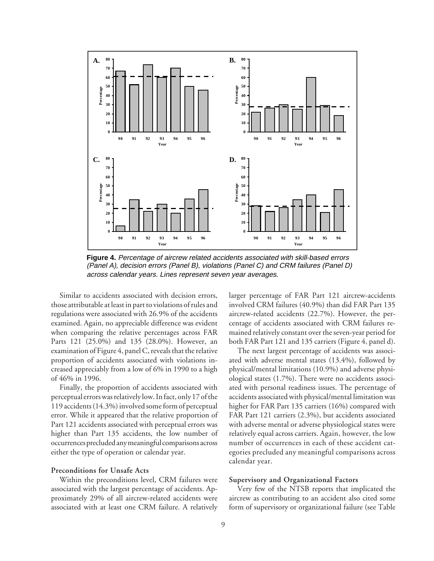

**Figure 4.** Percentage of aircrew related accidents associated with skill-based errors (Panel A), decision errors (Panel B), violations (Panel C) and CRM failures (Panel D) across calendar years. Lines represent seven year averages*.*

Similar to accidents associated with decision errors, those attributable at least in part to violations of rules and regulations were associated with 26.9% of the accidents examined. Again, no appreciable difference was evident when comparing the relative percentages across FAR Parts 121 (25.0%) and 135 (28.0%). However, an examination of Figure 4, panel C, reveals that the relative proportion of accidents associated with violations increased appreciably from a low of 6% in 1990 to a high of 46% in 1996.

Finally, the proportion of accidents associated with perceptual errors was relatively low. In fact, only 17 of the 119 accidents (14.3%) involved some form of perceptual error. While it appeared that the relative proportion of Part 121 accidents associated with perceptual errors was higher than Part 135 accidents, the low number of occurrences precluded any meaningful comparisons across either the type of operation or calendar year.

#### **Preconditions for Unsafe Acts**

Within the preconditions level, CRM failures were associated with the largest percentage of accidents. Approximately 29% of all aircrew-related accidents were associated with at least one CRM failure. A relatively

larger percentage of FAR Part 121 aircrew-accidents involved CRM failures (40.9%) than did FAR Part 135 aircrew-related accidents (22.7%). However, the percentage of accidents associated with CRM failures remained relatively constant over the seven-year period for both FAR Part 121 and 135 carriers (Figure 4, panel d).

The next largest percentage of accidents was associated with adverse mental states (13.4%), followed by physical/mental limitations (10.9%) and adverse physiological states (1.7%). There were no accidents associated with personal readiness issues. The percentage of accidents associated with physical/mental limitation was higher for FAR Part 135 carriers (16%) compared with FAR Part 121 carriers (2.3%), but accidents associated with adverse mental or adverse physiological states were relatively equal across carriers. Again, however, the low number of occurrences in each of these accident categories precluded any meaningful comparisons across calendar year.

#### **Supervisory and Organizational Factors**

Very few of the NTSB reports that implicated the aircrew as contributing to an accident also cited some form of supervisory or organizational failure (see Table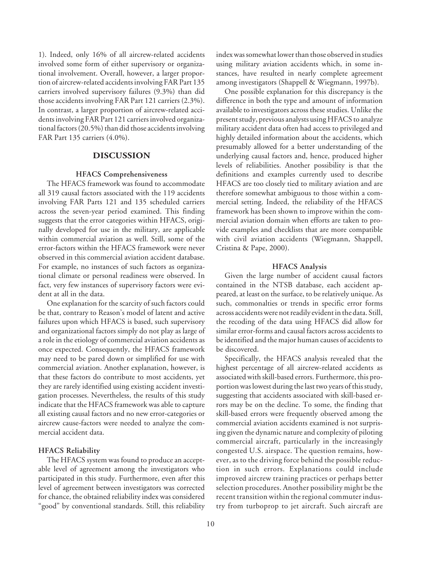1). Indeed, only 16% of all aircrew-related accidents involved some form of either supervisory or organizational involvement. Overall, however, a larger proportion of aircrew-related accidents involving FAR Part 135 carriers involved supervisory failures (9.3%) than did those accidents involving FAR Part 121 carriers (2.3%). In contrast, a larger proportion of aircrew-related accidents involving FAR Part 121 carriers involved organizational factors (20.5%) than did those accidents involving FAR Part 135 carriers (4.0%).

## **DISCUSSION**

### **HFACS Comprehensiveness**

The HFACS framework was found to accommodate all 319 causal factors associated with the 119 accidents involving FAR Parts 121 and 135 scheduled carriers across the seven-year period examined. This finding suggests that the error categories within HFACS, originally developed for use in the military, are applicable within commercial aviation as well. Still, some of the error-factors within the HFACS framework were never observed in this commercial aviation accident database. For example, no instances of such factors as organizational climate or personal readiness were observed. In fact, very few instances of supervisory factors were evident at all in the data.

One explanation for the scarcity of such factors could be that, contrary to Reason's model of latent and active failures upon which HFACS is based, such supervisory and organizational factors simply do not play as large of a role in the etiology of commercial aviation accidents as once expected. Consequently, the HFACS framework may need to be pared down or simplified for use with commercial aviation. Another explanation, however, is that these factors do contribute to most accidents, yet they are rarely identified using existing accident investigation processes. Nevertheless, the results of this study indicate that the HFACS framework was able to capture all existing causal factors and no new error-categories or aircrew cause-factors were needed to analyze the commercial accident data.

#### **HFACS Reliability**

The HFACS system was found to produce an acceptable level of agreement among the investigators who participated in this study. Furthermore, even after this level of agreement between investigators was corrected for chance, the obtained reliability index was considered "good" by conventional standards. Still, this reliability index was somewhat lower than those observed in studies using military aviation accidents which, in some instances, have resulted in nearly complete agreement among investigators (Shappell & Wiegmann, 1997b).

One possible explanation for this discrepancy is the difference in both the type and amount of information available to investigators across these studies. Unlike the present study, previous analysts using HFACS to analyze military accident data often had access to privileged and highly detailed information about the accidents, which presumably allowed for a better understanding of the underlying causal factors and, hence, produced higher levels of reliabilities. Another possibility is that the definitions and examples currently used to describe HFACS are too closely tied to military aviation and are therefore somewhat ambiguous to those within a commercial setting. Indeed, the reliability of the HFACS framework has been shown to improve within the commercial aviation domain when efforts are taken to provide examples and checklists that are more compatible with civil aviation accidents (Wiegmann, Shappell, Cristina & Pape, 2000).

#### **HFACS Analysis**

Given the large number of accident causal factors contained in the NTSB database, each accident appeared, at least on the surface, to be relatively unique. As such, commonalties or trends in specific error forms across accidents were not readily evident in the data. Still, the recoding of the data using HFACS did allow for similar error-forms and causal factors across accidents to be identified and the major human causes of accidents to be discovered.

Specifically, the HFACS analysis revealed that the highest percentage of all aircrew-related accidents as associated with skill-based errors. Furthermore, this proportion was lowest during the last two years of this study, suggesting that accidents associated with skill-based errors may be on the decline. To some, the finding that skill-based errors were frequently observed among the commercial aviation accidents examined is not surprising given the dynamic nature and complexity of piloting commercial aircraft, particularly in the increasingly congested U.S. airspace. The question remains, however, as to the driving force behind the possible reduction in such errors. Explanations could include improved aircrew training practices or perhaps better selection procedures. Another possibility might be the recent transition within the regional commuter industry from turboprop to jet aircraft. Such aircraft are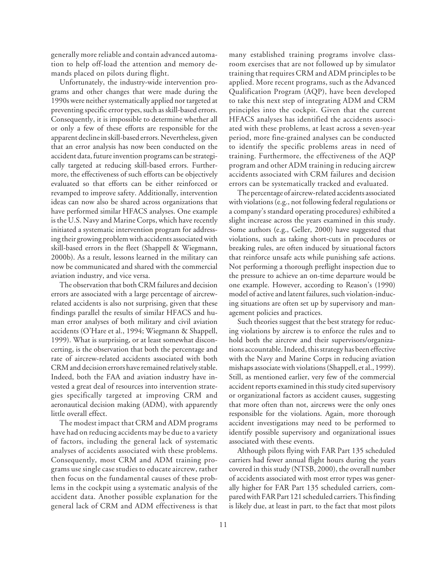generally more reliable and contain advanced automation to help off-load the attention and memory demands placed on pilots during flight.

Unfortunately, the industry-wide intervention programs and other changes that were made during the 1990s were neither systematically applied nor targeted at preventing specific error types, such as skill-based errors. Consequently, it is impossible to determine whether all or only a few of these efforts are responsible for the apparent decline in skill-based errors. Nevertheless, given that an error analysis has now been conducted on the accident data, future invention programs can be strategically targeted at reducing skill-based errors. Furthermore, the effectiveness of such efforts can be objectively evaluated so that efforts can be either reinforced or revamped to improve safety. Additionally, intervention ideas can now also be shared across organizations that have performed similar HFACS analyses. One example is the U.S. Navy and Marine Corps, which have recently initiated a systematic intervention program for addressing their growing problem with accidents associated with skill-based errors in the fleet (Shappell & Wiegmann, 2000b). As a result, lessons learned in the military can now be communicated and shared with the commercial aviation industry, and vice versa.

The observation that both CRM failures and decision errors are associated with a large percentage of aircrewrelated accidents is also not surprising, given that these findings parallel the results of similar HFACS and human error analyses of both military and civil aviation accidents (O'Hare et al., 1994; Wiegmann & Shappell, 1999). What is surprising, or at least somewhat disconcerting, is the observation that both the percentage and rate of aircrew-related accidents associated with both CRM and decision errors have remained relatively stable. Indeed, both the FAA and aviation industry have invested a great deal of resources into intervention strategies specifically targeted at improving CRM and aeronautical decision making (ADM), with apparently little overall effect.

The modest impact that CRM and ADM programs have had on reducing accidents may be due to a variety of factors, including the general lack of systematic analyses of accidents associated with these problems. Consequently, most CRM and ADM training programs use single case studies to educate aircrew, rather then focus on the fundamental causes of these problems in the cockpit using a systematic analysis of the accident data. Another possible explanation for the general lack of CRM and ADM effectiveness is that

many established training programs involve classroom exercises that are not followed up by simulator training that requires CRM and ADM principles to be applied. More recent programs, such as the Advanced Qualification Program (AQP), have been developed to take this next step of integrating ADM and CRM principles into the cockpit. Given that the current HFACS analyses has identified the accidents associated with these problems, at least across a seven-year period, more fine-grained analyses can be conducted to identify the specific problems areas in need of training. Furthermore, the effectiveness of the AQP program and other ADM training in reducing aircrew accidents associated with CRM failures and decision errors can be systematically tracked and evaluated.

The percentage of aircrew-related accidents associated with violations (e.g., not following federal regulations or a company's standard operating procedures) exhibited a slight increase across the years examined in this study. Some authors (e.g., Geller, 2000) have suggested that violations, such as taking short-cuts in procedures or breaking rules, are often induced by situational factors that reinforce unsafe acts while punishing safe actions. Not performing a thorough preflight inspection due to the pressure to achieve an on-time departure would be one example. However, according to Reason's (1990) model of active and latent failures, such violation-inducing situations are often set up by supervisory and management policies and practices.

Such theories suggest that the best strategy for reducing violations by aircrew is to enforce the rules and to hold both the aircrew and their supervisors/organizations accountable. Indeed, this strategy has been effective with the Navy and Marine Corps in reducing aviation mishaps associate with violations (Shappell, et al., 1999). Still, as mentioned earlier, very few of the commercial accident reports examined in this study cited supervisory or organizational factors as accident causes, suggesting that more often than not, aircrews were the only ones responsible for the violations. Again, more thorough accident investigations may need to be performed to identify possible supervisory and organizational issues associated with these events.

Although pilots flying with FAR Part 135 scheduled carriers had fewer annual flight hours during the years covered in this study (NTSB, 2000), the overall number of accidents associated with most error types was generally higher for FAR Part 135 scheduled carriers, compared with FAR Part 121 scheduled carriers. This finding is likely due, at least in part, to the fact that most pilots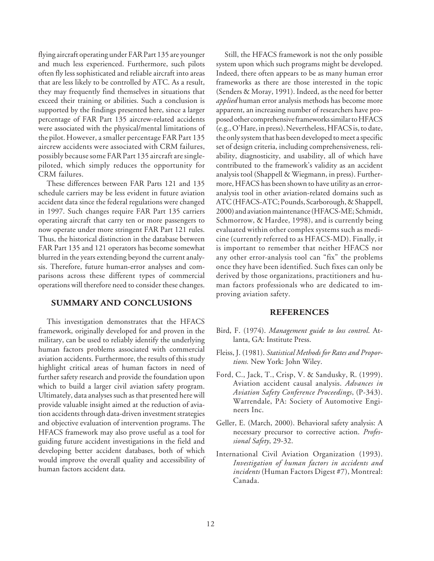flying aircraft operating under FAR Part 135 are younger and much less experienced. Furthermore, such pilots often fly less sophisticated and reliable aircraft into areas that are less likely to be controlled by ATC. As a result, they may frequently find themselves in situations that exceed their training or abilities. Such a conclusion is supported by the findings presented here, since a larger percentage of FAR Part 135 aircrew-related accidents were associated with the physical/mental limitations of the pilot. However, a smaller percentage FAR Part 135 aircrew accidents were associated with CRM failures, possibly because some FAR Part 135 aircraft are singlepiloted, which simply reduces the opportunity for CRM failures.

These differences between FAR Parts 121 and 135 schedule carriers may be less evident in future aviation accident data since the federal regulations were changed in 1997. Such changes require FAR Part 135 carriers operating aircraft that carry ten or more passengers to now operate under more stringent FAR Part 121 rules. Thus, the historical distinction in the database between FAR Part 135 and 121 operators has become somewhat blurred in the years extending beyond the current analysis. Therefore, future human-error analyses and comparisons across these different types of commercial operations will therefore need to consider these changes.

## **SUMMARY AND CONCLUSIONS**

This investigation demonstrates that the HFACS framework, originally developed for and proven in the military, can be used to reliably identify the underlying human factors problems associated with commercial aviation accidents. Furthermore, the results of this study highlight critical areas of human factors in need of further safety research and provide the foundation upon which to build a larger civil aviation safety program. Ultimately, data analyses such as that presented here will provide valuable insight aimed at the reduction of aviation accidents through data-driven investment strategies and objective evaluation of intervention programs. The HFACS framework may also prove useful as a tool for guiding future accident investigations in the field and developing better accident databases, both of which would improve the overall quality and accessibility of human factors accident data.

Still, the HFACS framework is not the only possible system upon which such programs might be developed. Indeed, there often appears to be as many human error frameworks as there are those interested in the topic (Senders & Moray, 1991). Indeed, as the need for better *applied* human error analysis methods has become more apparent, an increasing number of researchers have proposed other comprehensive frameworks similar to HFACS (e.g., O'Hare, in press). Nevertheless, HFACS is, to date, the only system that has been developed to meet a specific set of design criteria, including comprehensiveness, reliability, diagnosticity, and usability, all of which have contributed to the framework's validity as an accident analysis tool (Shappell & Wiegmann, in press). Furthermore, HFACS has been shown to have utility as an erroranalysis tool in other aviation-related domains such as ATC (HFACS-ATC; Pounds, Scarborough, & Shappell, 2000) and aviation maintenance (HFACS-ME; Schmidt, Schmorrow, & Hardee, 1998), and is currently being evaluated within other complex systems such as medicine (currently referred to as HFACS-MD). Finally, it is important to remember that neither HFACS nor any other error-analysis tool can "fix" the problems once they have been identified. Such fixes can only be derived by those organizations, practitioners and human factors professionals who are dedicated to improving aviation safety.

#### **REFERENCES**

- Bird, F. (1974). *Management guide to loss control*. Atlanta, GA: Institute Press.
- Fleiss, J. (1981). *Statistical Methods for Rates and Proportions.* New York: John Wiley.
- Ford, C., Jack, T., Crisp, V. & Sandusky, R. (1999). Aviation accident causal analysis. *Advances in Aviation Safety Conference Proceedings*, (P-343). Warrendale, PA: Society of Automotive Engineers Inc.
- Geller, E. (March, 2000). Behavioral safety analysis: A necessary precursor to corrective action. *Professional Safety*, 29-32.
- International Civil Aviation Organization (1993). *Investigation of human factors in accidents and incidents* (Human Factors Digest #7), Montreal: Canada.